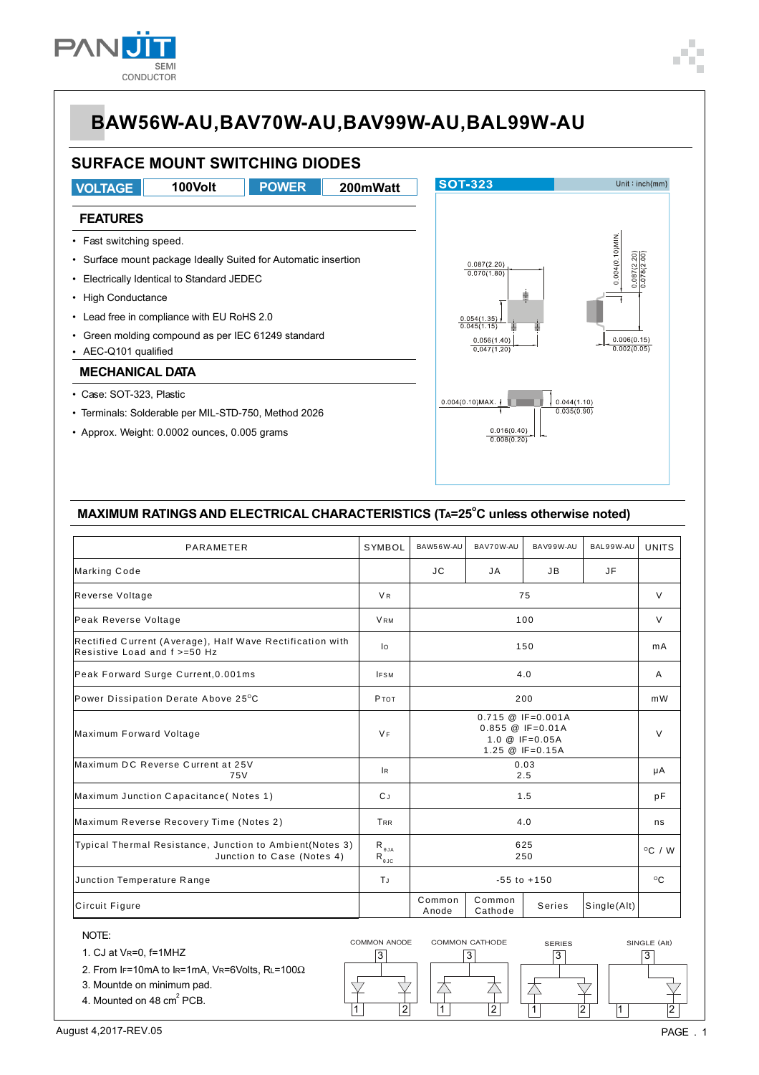

# **SURFACE MOUNT SWITCHING DIODES**

**POWER** 

100Volt

**VOLTAGE** 

## 200mWatt

#### **FEATURES**

- Fast switching speed.
- Surface mount package Ideally Suited for Automatic insertion
- Electrically Identical to Standard JEDEC
- High Conductance
- Lead free in compliance with EU RoHS 2.0
- Green molding compound as per IEC 61249 standard
- AEC-Q101 qualified

#### **MECHANICAL DATA**

- · Case: SOT-323, Plastic
- Terminals: Solderable per MIL-STD-750, Method 2026
- Approx. Weight: 0.0002 ounces, 0.005 grams



### MAXIMUM RATINGS AND ELECTRICAL CHARACTERISTICS (TA=25°C unless otherwise noted)

| PARAMETER                                                                                 | <b>SYMBOL</b>                               | BAW56W-AU                                                                                                    | BAV70W-AU         | BAV99W-AU | BAL99W-AU   | <b>UNITS</b>     |
|-------------------------------------------------------------------------------------------|---------------------------------------------|--------------------------------------------------------------------------------------------------------------|-------------------|-----------|-------------|------------------|
| Marking Code                                                                              |                                             | <b>JC</b>                                                                                                    | JA                | JB        | <b>JF</b>   |                  |
| Reverse Voltage                                                                           | <b>VR</b>                                   | 75                                                                                                           |                   |           |             | $\vee$           |
| Peak Reverse Voltage                                                                      | <b>VRM</b>                                  | 100                                                                                                          |                   |           |             | $\vee$           |
| Rectified Current (Average), Half Wave Rectification with<br>Resistive Load and f >=50 Hz | lo                                          | 150                                                                                                          |                   |           |             | mA               |
| Peak Forward Surge Current, 0.001ms                                                       | <b>IFSM</b>                                 | 4.0                                                                                                          |                   |           |             | A                |
| Power Dissipation Derate Above 25°C                                                       | <b>P</b> TOT                                | 200                                                                                                          |                   |           |             | mW               |
| Maximum Forward Voltage                                                                   | <b>VF</b>                                   | $0.715 \ @ \ \text{IF} = 0.001A$<br>$0.855 \ @ \ \text{IF} = 0.01A$<br>1.0 $@$ IF=0.05A<br>1.25 $@$ IF=0.15A |                   |           |             | V                |
| Maximum DC Reverse Current at 25V<br>75V                                                  | lR.                                         | 0.03<br>2.5                                                                                                  |                   |           |             | μA               |
| Maximum Junction Capacitance (Notes 1)                                                    | C J                                         | 1.5                                                                                                          |                   |           |             | pF               |
| Maximum Reverse Recovery Time (Notes 2)                                                   | <b>TRR</b>                                  | 4.0                                                                                                          |                   |           |             | ns               |
| Typical Thermal Resistance, Junction to Ambient(Notes 3)<br>Junction to Case (Notes 4)    | $R_{\theta JA}$<br>$R_{_{\theta\text{JC}}}$ | 625<br>250                                                                                                   |                   |           |             | $^{\circ}$ C / W |
| Junction Temperature Range                                                                | TJ                                          | $-55$ to $+150$                                                                                              |                   |           |             | °C               |
| Circuit Figure                                                                            |                                             | Common<br>Anode                                                                                              | Common<br>Cathode | Series    | Single(Alt) |                  |

 $\overline{3}$ 

 $\overline{2}$ 

 $\overline{\nabla}$ 

1

 $\boxed{3}$ 

夲

 $\vert$ 1

**N** 

 $|2|$ 



- 2. From IF=10mA to IR=1mA, VR=6Volts, RL=100 $\Omega$
- 3. Mountde on minimum pad.
- 4. Mounted on 48 cm<sup>2</sup> PCB.

August 4,2017-REV.05

 $\overline{2}$ 

 $\overline{3}$ 

 $\vert$ 1

 $\sqrt{3}$ 

 $\overrightarrow{\nabla}$ 

 $\overline{2}$ 

杢

 $\overline{1}$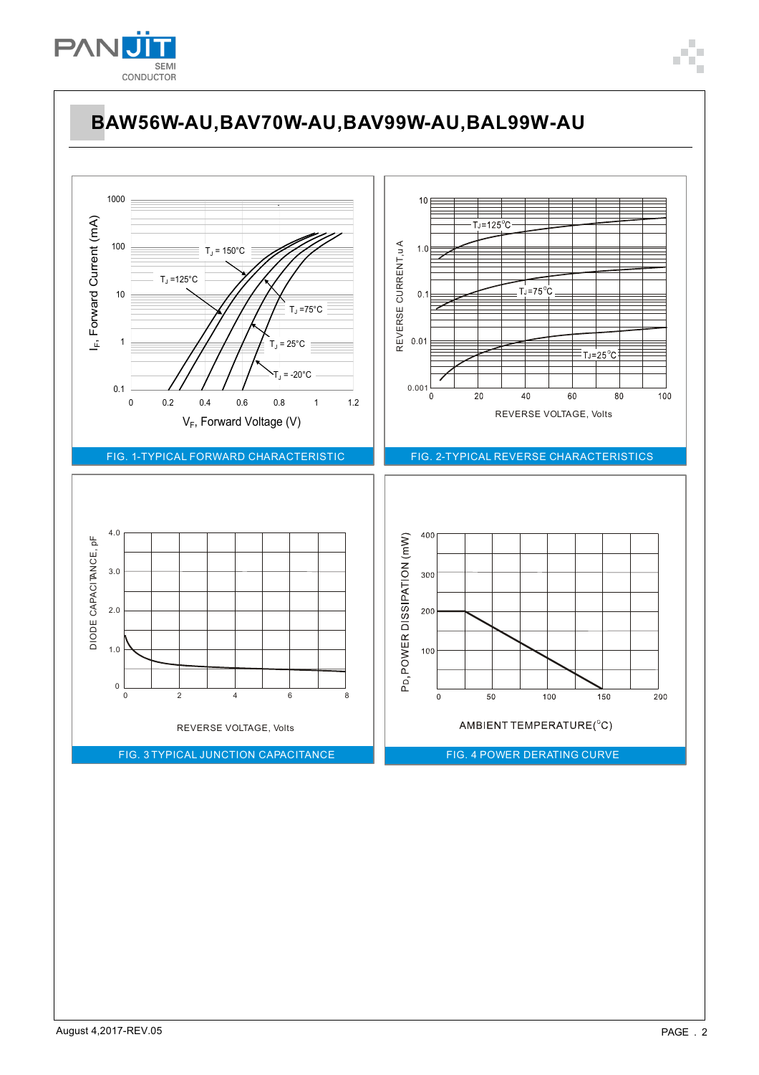

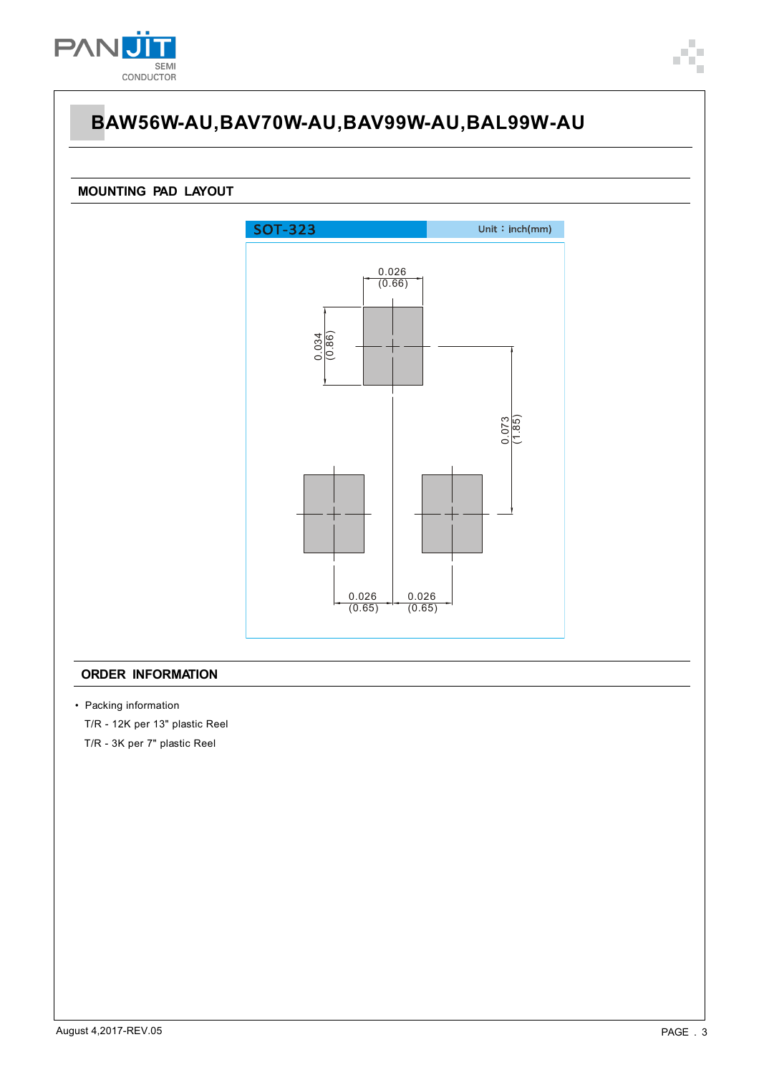

# **BAW56W-AU,BAV70W-AU,BAV99W-AU,BAL99W-AU**

### **MOUNTING PAD LAYOUT**



#### **ORDER INFORMATION**

• Packing information

T/R - 12K per 13" plastic Reel

T/R - 3K per 7" plastic Reel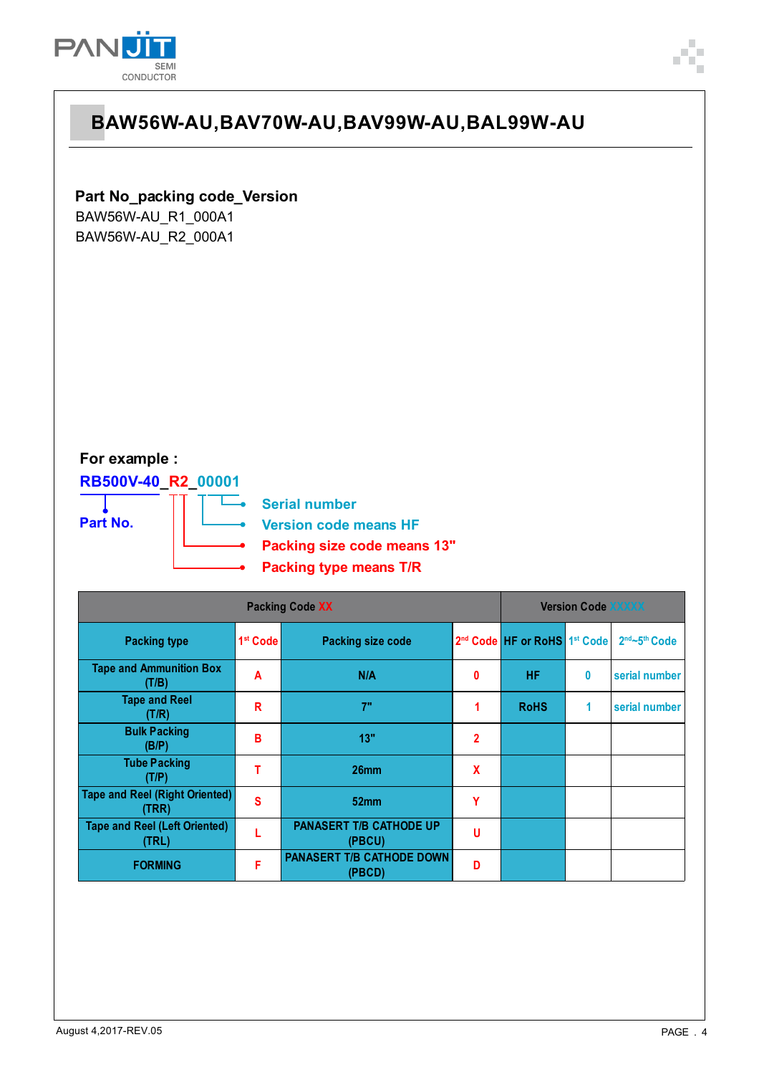